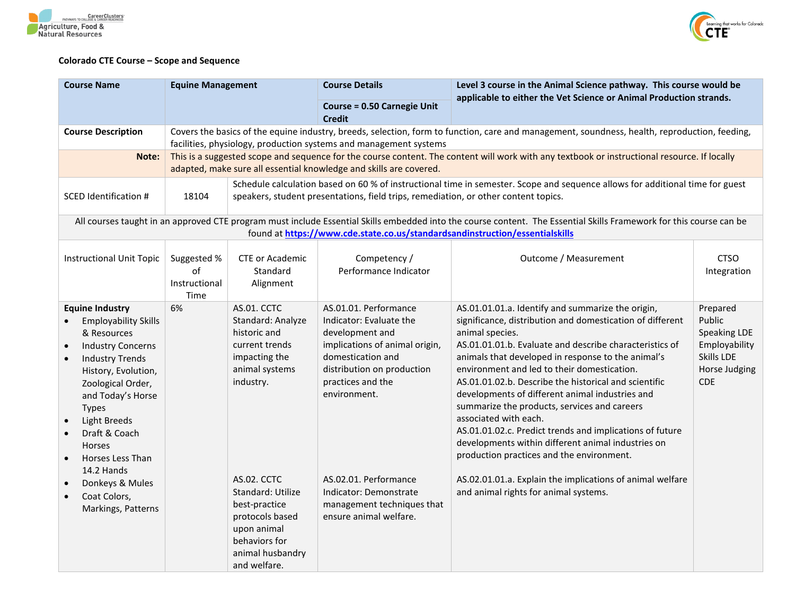



## **Colorado CTE Course – Scope and Sequence**

| <b>Course Name</b>                                                                                                                                                                                                                                                                                                                                                                 | <b>Equine Management</b>                   |                                                                                                                                                                                                                                                                | <b>Course Details</b>                                                                                                                                                                                                                                                                                    | Level 3 course in the Animal Science pathway. This course would be<br>applicable to either the Vet Science or Animal Production strands.                                                                                                                                                                                                                                                                                                                                                                                                                                                                                                                                                                                                                    |                                                                                                  |  |  |
|------------------------------------------------------------------------------------------------------------------------------------------------------------------------------------------------------------------------------------------------------------------------------------------------------------------------------------------------------------------------------------|--------------------------------------------|----------------------------------------------------------------------------------------------------------------------------------------------------------------------------------------------------------------------------------------------------------------|----------------------------------------------------------------------------------------------------------------------------------------------------------------------------------------------------------------------------------------------------------------------------------------------------------|-------------------------------------------------------------------------------------------------------------------------------------------------------------------------------------------------------------------------------------------------------------------------------------------------------------------------------------------------------------------------------------------------------------------------------------------------------------------------------------------------------------------------------------------------------------------------------------------------------------------------------------------------------------------------------------------------------------------------------------------------------------|--------------------------------------------------------------------------------------------------|--|--|
|                                                                                                                                                                                                                                                                                                                                                                                    |                                            |                                                                                                                                                                                                                                                                | <b>Course = 0.50 Carnegie Unit</b><br><b>Credit</b>                                                                                                                                                                                                                                                      |                                                                                                                                                                                                                                                                                                                                                                                                                                                                                                                                                                                                                                                                                                                                                             |                                                                                                  |  |  |
| <b>Course Description</b>                                                                                                                                                                                                                                                                                                                                                          |                                            | Covers the basics of the equine industry, breeds, selection, form to function, care and management, soundness, health, reproduction, feeding,<br>facilities, physiology, production systems and management systems                                             |                                                                                                                                                                                                                                                                                                          |                                                                                                                                                                                                                                                                                                                                                                                                                                                                                                                                                                                                                                                                                                                                                             |                                                                                                  |  |  |
| Note:                                                                                                                                                                                                                                                                                                                                                                              |                                            | This is a suggested scope and sequence for the course content. The content will work with any textbook or instructional resource. If locally<br>adapted, make sure all essential knowledge and skills are covered.                                             |                                                                                                                                                                                                                                                                                                          |                                                                                                                                                                                                                                                                                                                                                                                                                                                                                                                                                                                                                                                                                                                                                             |                                                                                                  |  |  |
| SCED Identification #                                                                                                                                                                                                                                                                                                                                                              | 18104                                      | Schedule calculation based on 60 % of instructional time in semester. Scope and sequence allows for additional time for guest<br>speakers, student presentations, field trips, remediation, or other content topics.                                           |                                                                                                                                                                                                                                                                                                          |                                                                                                                                                                                                                                                                                                                                                                                                                                                                                                                                                                                                                                                                                                                                                             |                                                                                                  |  |  |
|                                                                                                                                                                                                                                                                                                                                                                                    |                                            |                                                                                                                                                                                                                                                                | found at https://www.cde.state.co.us/standardsandinstruction/essentialskills                                                                                                                                                                                                                             | All courses taught in an approved CTE program must include Essential Skills embedded into the course content. The Essential Skills Framework for this course can be                                                                                                                                                                                                                                                                                                                                                                                                                                                                                                                                                                                         |                                                                                                  |  |  |
| <b>Instructional Unit Topic</b>                                                                                                                                                                                                                                                                                                                                                    | Suggested %<br>of<br>Instructional<br>Time | <b>CTE or Academic</b><br>Standard<br>Alignment                                                                                                                                                                                                                | Competency /<br>Performance Indicator                                                                                                                                                                                                                                                                    | Outcome / Measurement                                                                                                                                                                                                                                                                                                                                                                                                                                                                                                                                                                                                                                                                                                                                       | <b>CTSO</b><br>Integration                                                                       |  |  |
| <b>Equine Industry</b><br><b>Employability Skills</b><br>& Resources<br><b>Industry Concerns</b><br><b>Industry Trends</b><br>History, Evolution,<br>Zoological Order,<br>and Today's Horse<br><b>Types</b><br>Light Breeds<br>$\bullet$<br>Draft & Coach<br><b>Horses</b><br>Horses Less Than<br>14.2 Hands<br>Donkeys & Mules<br>Coat Colors,<br>$\bullet$<br>Markings, Patterns | 6%                                         | AS.01. CCTC<br>Standard: Analyze<br>historic and<br>current trends<br>impacting the<br>animal systems<br>industry.<br>AS.02. CCTC<br>Standard: Utilize<br>best-practice<br>protocols based<br>upon animal<br>behaviors for<br>animal husbandry<br>and welfare. | AS.01.01. Performance<br>Indicator: Evaluate the<br>development and<br>implications of animal origin,<br>domestication and<br>distribution on production<br>practices and the<br>environment.<br>AS.02.01. Performance<br>Indicator: Demonstrate<br>management techniques that<br>ensure animal welfare. | AS.01.01.01.a. Identify and summarize the origin,<br>significance, distribution and domestication of different<br>animal species.<br>AS.01.01.01.b. Evaluate and describe characteristics of<br>animals that developed in response to the animal's<br>environment and led to their domestication.<br>AS.01.01.02.b. Describe the historical and scientific<br>developments of different animal industries and<br>summarize the products, services and careers<br>associated with each.<br>AS.01.01.02.c. Predict trends and implications of future<br>developments within different animal industries on<br>production practices and the environment.<br>AS.02.01.01.a. Explain the implications of animal welfare<br>and animal rights for animal systems. | Prepared<br>Public<br><b>Speaking LDE</b><br>Employability<br>Skills LDE<br>Horse Judging<br>CDE |  |  |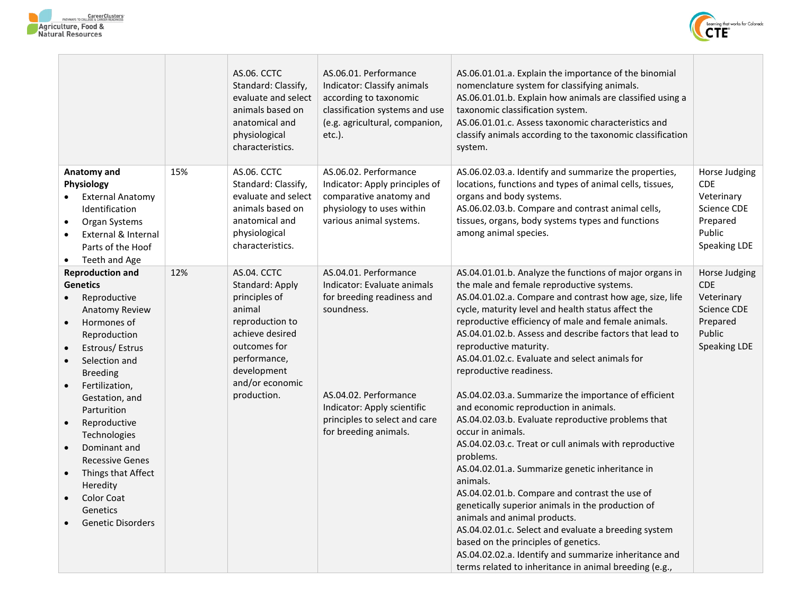



|                                                                                                                                                                                                                                                                                                                                                                                                                                                                |     | AS.06. CCTC<br>Standard: Classify,<br>evaluate and select<br>animals based on<br>anatomical and<br>physiological<br>characteristics.                                             | AS.06.01. Performance<br>Indicator: Classify animals<br>according to taxonomic<br>classification systems and use<br>(e.g. agricultural, companion,<br>$etc.$ ).                                                    | AS.06.01.01.a. Explain the importance of the binomial<br>nomenclature system for classifying animals.<br>AS.06.01.01.b. Explain how animals are classified using a<br>taxonomic classification system.<br>AS.06.01.01.c. Assess taxonomic characteristics and<br>classify animals according to the taxonomic classification<br>system.                                                                                                                                                                                                                                                                                                                                                                                                                                                                                                                                                                                                                                                                                                                                                                                     |                                                                                                              |
|----------------------------------------------------------------------------------------------------------------------------------------------------------------------------------------------------------------------------------------------------------------------------------------------------------------------------------------------------------------------------------------------------------------------------------------------------------------|-----|----------------------------------------------------------------------------------------------------------------------------------------------------------------------------------|--------------------------------------------------------------------------------------------------------------------------------------------------------------------------------------------------------------------|----------------------------------------------------------------------------------------------------------------------------------------------------------------------------------------------------------------------------------------------------------------------------------------------------------------------------------------------------------------------------------------------------------------------------------------------------------------------------------------------------------------------------------------------------------------------------------------------------------------------------------------------------------------------------------------------------------------------------------------------------------------------------------------------------------------------------------------------------------------------------------------------------------------------------------------------------------------------------------------------------------------------------------------------------------------------------------------------------------------------------|--------------------------------------------------------------------------------------------------------------|
| Anatomy and<br><b>Physiology</b><br><b>External Anatomy</b><br>Identification<br>Organ Systems<br>$\bullet$<br>External & Internal<br>$\bullet$<br>Parts of the Hoof<br>Teeth and Age<br>$\bullet$                                                                                                                                                                                                                                                             | 15% | AS.06. CCTC<br>Standard: Classify,<br>evaluate and select<br>animals based on<br>anatomical and<br>physiological<br>characteristics.                                             | AS.06.02. Performance<br>Indicator: Apply principles of<br>comparative anatomy and<br>physiology to uses within<br>various animal systems.                                                                         | AS.06.02.03.a. Identify and summarize the properties,<br>locations, functions and types of animal cells, tissues,<br>organs and body systems.<br>AS.06.02.03.b. Compare and contrast animal cells,<br>tissues, organs, body systems types and functions<br>among animal species.                                                                                                                                                                                                                                                                                                                                                                                                                                                                                                                                                                                                                                                                                                                                                                                                                                           | Horse Judging<br><b>CDE</b><br>Veterinary<br>Science CDE<br>Prepared<br>Public<br>Speaking LDE               |
| <b>Reproduction and</b><br><b>Genetics</b><br>Reproductive<br>$\bullet$<br>Anatomy Review<br>Hormones of<br>Reproduction<br>Estrous/Estrus<br>Selection and<br>$\bullet$<br><b>Breeding</b><br>Fertilization,<br>$\bullet$<br>Gestation, and<br>Parturition<br>Reproductive<br>$\bullet$<br>Technologies<br>Dominant and<br><b>Recessive Genes</b><br>Things that Affect<br>$\bullet$<br>Heredity<br><b>Color Coat</b><br>Genetics<br><b>Genetic Disorders</b> | 12% | AS.04. CCTC<br>Standard: Apply<br>principles of<br>animal<br>reproduction to<br>achieve desired<br>outcomes for<br>performance,<br>development<br>and/or economic<br>production. | AS.04.01. Performance<br>Indicator: Evaluate animals<br>for breeding readiness and<br>soundness.<br>AS.04.02. Performance<br>Indicator: Apply scientific<br>principles to select and care<br>for breeding animals. | AS.04.01.01.b. Analyze the functions of major organs in<br>the male and female reproductive systems.<br>AS.04.01.02.a. Compare and contrast how age, size, life<br>cycle, maturity level and health status affect the<br>reproductive efficiency of male and female animals.<br>AS.04.01.02.b. Assess and describe factors that lead to<br>reproductive maturity.<br>AS.04.01.02.c. Evaluate and select animals for<br>reproductive readiness.<br>AS.04.02.03.a. Summarize the importance of efficient<br>and economic reproduction in animals.<br>AS.04.02.03.b. Evaluate reproductive problems that<br>occur in animals.<br>AS.04.02.03.c. Treat or cull animals with reproductive<br>problems.<br>AS.04.02.01.a. Summarize genetic inheritance in<br>animals.<br>AS.04.02.01.b. Compare and contrast the use of<br>genetically superior animals in the production of<br>animals and animal products.<br>AS.04.02.01.c. Select and evaluate a breeding system<br>based on the principles of genetics.<br>AS.04.02.02.a. Identify and summarize inheritance and<br>terms related to inheritance in animal breeding (e.g., | Horse Judging<br><b>CDE</b><br>Veterinary<br><b>Science CDE</b><br>Prepared<br>Public<br><b>Speaking LDE</b> |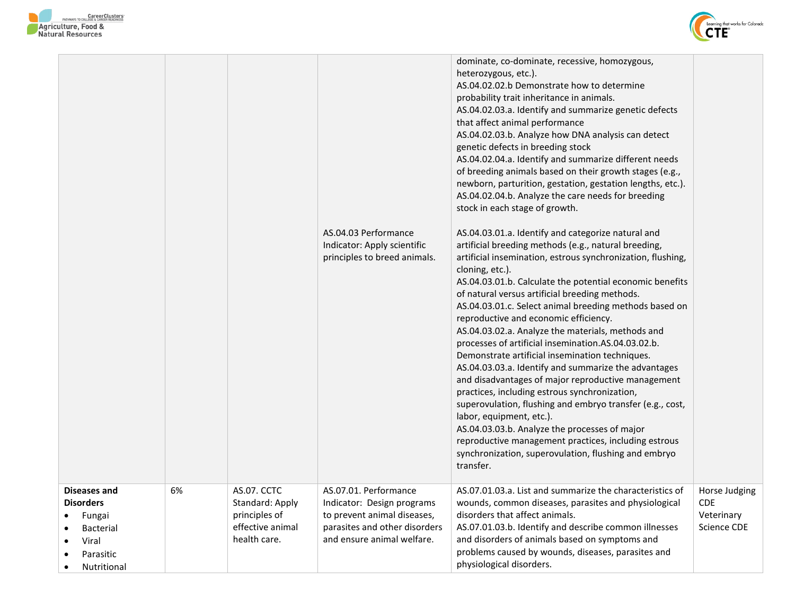



|                                                                                                                               |    |                                                                                     | AS.04.03 Performance<br>Indicator: Apply scientific<br>principles to breed animals.                                                               | dominate, co-dominate, recessive, homozygous,<br>heterozygous, etc.).<br>AS.04.02.02.b Demonstrate how to determine<br>probability trait inheritance in animals.<br>AS.04.02.03.a. Identify and summarize genetic defects<br>that affect animal performance<br>AS.04.02.03.b. Analyze how DNA analysis can detect<br>genetic defects in breeding stock<br>AS.04.02.04.a. Identify and summarize different needs<br>of breeding animals based on their growth stages (e.g.,<br>newborn, parturition, gestation, gestation lengths, etc.).<br>AS.04.02.04.b. Analyze the care needs for breeding<br>stock in each stage of growth.<br>AS.04.03.01.a. Identify and categorize natural and<br>artificial breeding methods (e.g., natural breeding,<br>artificial insemination, estrous synchronization, flushing,<br>cloning, etc.).<br>AS.04.03.01.b. Calculate the potential economic benefits<br>of natural versus artificial breeding methods.<br>AS.04.03.01.c. Select animal breeding methods based on<br>reproductive and economic efficiency.<br>AS.04.03.02.a. Analyze the materials, methods and<br>processes of artificial insemination.AS.04.03.02.b.<br>Demonstrate artificial insemination techniques.<br>AS.04.03.03.a. Identify and summarize the advantages<br>and disadvantages of major reproductive management<br>practices, including estrous synchronization,<br>superovulation, flushing and embryo transfer (e.g., cost,<br>labor, equipment, etc.).<br>AS.04.03.03.b. Analyze the processes of major<br>reproductive management practices, including estrous<br>synchronization, superovulation, flushing and embryo<br>transfer. |                                                          |
|-------------------------------------------------------------------------------------------------------------------------------|----|-------------------------------------------------------------------------------------|---------------------------------------------------------------------------------------------------------------------------------------------------|--------------------------------------------------------------------------------------------------------------------------------------------------------------------------------------------------------------------------------------------------------------------------------------------------------------------------------------------------------------------------------------------------------------------------------------------------------------------------------------------------------------------------------------------------------------------------------------------------------------------------------------------------------------------------------------------------------------------------------------------------------------------------------------------------------------------------------------------------------------------------------------------------------------------------------------------------------------------------------------------------------------------------------------------------------------------------------------------------------------------------------------------------------------------------------------------------------------------------------------------------------------------------------------------------------------------------------------------------------------------------------------------------------------------------------------------------------------------------------------------------------------------------------------------------------------------------------------------------------------------------------------------------------|----------------------------------------------------------|
| <b>Diseases and</b><br><b>Disorders</b><br>Fungai<br>Bacterial<br>Viral<br>$\bullet$<br>Parasitic<br>Nutritional<br>$\bullet$ | 6% | AS.07. CCTC<br>Standard: Apply<br>principles of<br>effective animal<br>health care. | AS.07.01. Performance<br>Indicator: Design programs<br>to prevent animal diseases,<br>parasites and other disorders<br>and ensure animal welfare. | AS.07.01.03.a. List and summarize the characteristics of<br>wounds, common diseases, parasites and physiological<br>disorders that affect animals.<br>AS.07.01.03.b. Identify and describe common illnesses<br>and disorders of animals based on symptoms and<br>problems caused by wounds, diseases, parasites and<br>physiological disorders.                                                                                                                                                                                                                                                                                                                                                                                                                                                                                                                                                                                                                                                                                                                                                                                                                                                                                                                                                                                                                                                                                                                                                                                                                                                                                                        | Horse Judging<br><b>CDE</b><br>Veterinary<br>Science CDE |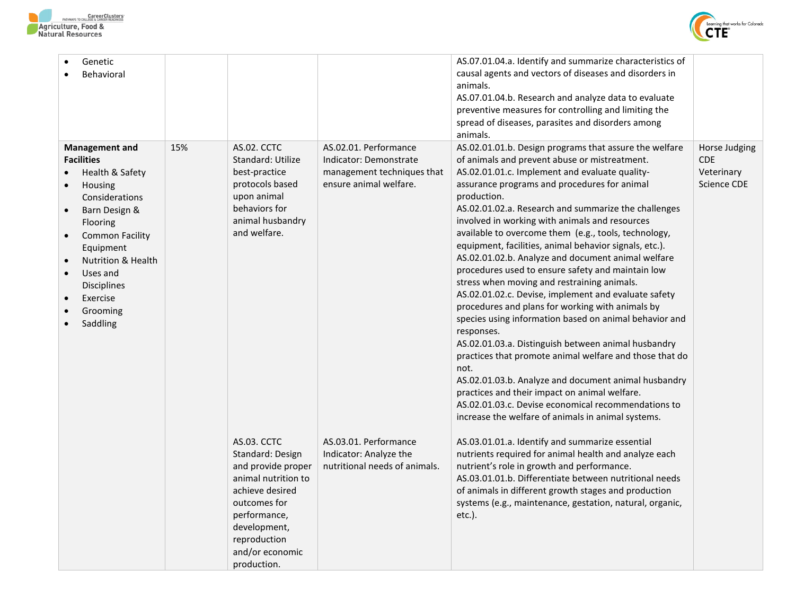



| Genetic<br>Behavioral                                                                                                                                                                                                                                                              |     |                                                                                                                                                                                                          |                                                                                                         | AS.07.01.04.a. Identify and summarize characteristics of<br>causal agents and vectors of diseases and disorders in<br>animals.<br>AS.07.01.04.b. Research and analyze data to evaluate<br>preventive measures for controlling and limiting the<br>spread of diseases, parasites and disorders among<br>animals.                                                                                                                                                                                                                                                                                                                                                                                                                                                                                                                                                                                                                                                                                                                                                                                                                                    |                                                          |
|------------------------------------------------------------------------------------------------------------------------------------------------------------------------------------------------------------------------------------------------------------------------------------|-----|----------------------------------------------------------------------------------------------------------------------------------------------------------------------------------------------------------|---------------------------------------------------------------------------------------------------------|----------------------------------------------------------------------------------------------------------------------------------------------------------------------------------------------------------------------------------------------------------------------------------------------------------------------------------------------------------------------------------------------------------------------------------------------------------------------------------------------------------------------------------------------------------------------------------------------------------------------------------------------------------------------------------------------------------------------------------------------------------------------------------------------------------------------------------------------------------------------------------------------------------------------------------------------------------------------------------------------------------------------------------------------------------------------------------------------------------------------------------------------------|----------------------------------------------------------|
| <b>Management and</b><br><b>Facilities</b><br>Health & Safety<br>Housing<br>Considerations<br>Barn Design &<br>Flooring<br><b>Common Facility</b><br>Equipment<br><b>Nutrition &amp; Health</b><br>Uses and<br>$\bullet$<br><b>Disciplines</b><br>Exercise<br>Grooming<br>Saddling | 15% | AS.02. CCTC<br>Standard: Utilize<br>best-practice<br>protocols based<br>upon animal<br>behaviors for<br>animal husbandry<br>and welfare.                                                                 | AS.02.01. Performance<br>Indicator: Demonstrate<br>management techniques that<br>ensure animal welfare. | AS.02.01.01.b. Design programs that assure the welfare<br>of animals and prevent abuse or mistreatment.<br>AS.02.01.01.c. Implement and evaluate quality-<br>assurance programs and procedures for animal<br>production.<br>AS.02.01.02.a. Research and summarize the challenges<br>involved in working with animals and resources<br>available to overcome them (e.g., tools, technology,<br>equipment, facilities, animal behavior signals, etc.).<br>AS.02.01.02.b. Analyze and document animal welfare<br>procedures used to ensure safety and maintain low<br>stress when moving and restraining animals.<br>AS.02.01.02.c. Devise, implement and evaluate safety<br>procedures and plans for working with animals by<br>species using information based on animal behavior and<br>responses.<br>AS.02.01.03.a. Distinguish between animal husbandry<br>practices that promote animal welfare and those that do<br>not.<br>AS.02.01.03.b. Analyze and document animal husbandry<br>practices and their impact on animal welfare.<br>AS.02.01.03.c. Devise economical recommendations to<br>increase the welfare of animals in animal systems. | Horse Judging<br><b>CDE</b><br>Veterinary<br>Science CDE |
|                                                                                                                                                                                                                                                                                    |     | <b>AS.03. CCTC</b><br>Standard: Design<br>and provide proper<br>animal nutrition to<br>achieve desired<br>outcomes for<br>performance,<br>development,<br>reproduction<br>and/or economic<br>production. | AS.03.01. Performance<br>Indicator: Analyze the<br>nutritional needs of animals.                        | AS.03.01.01.a. Identify and summarize essential<br>nutrients required for animal health and analyze each<br>nutrient's role in growth and performance.<br>AS.03.01.01.b. Differentiate between nutritional needs<br>of animals in different growth stages and production<br>systems (e.g., maintenance, gestation, natural, organic,<br>$etc.$ ).                                                                                                                                                                                                                                                                                                                                                                                                                                                                                                                                                                                                                                                                                                                                                                                                  |                                                          |